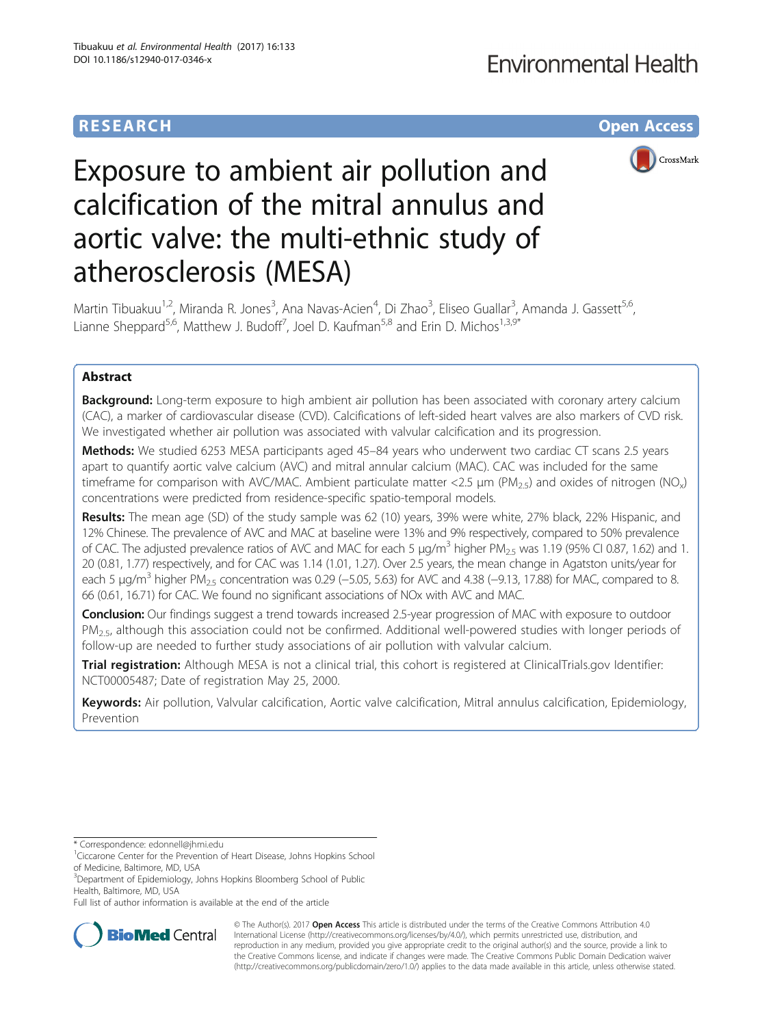## **RESEARCH CHE Open Access**



# Exposure to ambient air pollution and calcification of the mitral annulus and aortic valve: the multi-ethnic study of atherosclerosis (MESA)

Martin Tibuakuu<sup>1,2</sup>, Miranda R. Jones<sup>3</sup>, Ana Navas-Acien<sup>4</sup>, Di Zhao<sup>3</sup>, Eliseo Guallar<sup>3</sup>, Amanda J. Gassett<sup>5,6</sup>, Lianne Sheppard<sup>5,6</sup>, Matthew J. Budoff<sup>7</sup>, Joel D. Kaufman<sup>5,8</sup> and Erin D. Michos<sup>1,3,9\*</sup>

## Abstract

**Background:** Long-term exposure to high ambient air pollution has been associated with coronary artery calcium (CAC), a marker of cardiovascular disease (CVD). Calcifications of left-sided heart valves are also markers of CVD risk. We investigated whether air pollution was associated with valvular calcification and its progression.

Methods: We studied 6253 MESA participants aged 45–84 years who underwent two cardiac CT scans 2.5 years apart to quantify aortic valve calcium (AVC) and mitral annular calcium (MAC). CAC was included for the same timeframe for comparison with AVC/MAC. Ambient particulate matter <2.5  $\mu$ m (PM<sub>2.5</sub>) and oxides of nitrogen (NO<sub>x</sub>) concentrations were predicted from residence-specific spatio-temporal models.

Results: The mean age (SD) of the study sample was 62 (10) years, 39% were white, 27% black, 22% Hispanic, and 12% Chinese. The prevalence of AVC and MAC at baseline were 13% and 9% respectively, compared to 50% prevalence of CAC. The adjusted prevalence ratios of AVC and MAC for each 5  $\mu q/m^3$  higher PM<sub>2.5</sub> was 1.19 (95% CI 0.87, 1.62) and 1. 20 (0.81, 1.77) respectively, and for CAC was 1.14 (1.01, 1.27). Over 2.5 years, the mean change in Agatston units/year for each 5 μg/m<sup>3</sup> higher PM<sub>2.5</sub> concentration was 0.29 (−5.05, 5.63) for AVC and 4.38 (−9.13, 17.88) for MAC, compared to 8. 66 (0.61, 16.71) for CAC. We found no significant associations of NOx with AVC and MAC.

Conclusion: Our findings suggest a trend towards increased 2.5-year progression of MAC with exposure to outdoor PM<sub>2.5</sub>, although this association could not be confirmed. Additional well-powered studies with longer periods of follow-up are needed to further study associations of air pollution with valvular calcium.

Trial registration: Although MESA is not a clinical trial, this cohort is registered at [ClinicalTrials.gov](http://clinicaltrials.gov) Identifier: NCT00005487; Date of registration May 25, 2000.

Keywords: Air pollution, Valvular calcification, Aortic valve calcification, Mitral annulus calcification, Epidemiology, Prevention

Full list of author information is available at the end of the article



© The Author(s). 2017 **Open Access** This article is distributed under the terms of the Creative Commons Attribution 4.0 International License [\(http://creativecommons.org/licenses/by/4.0/](http://creativecommons.org/licenses/by/4.0/)), which permits unrestricted use, distribution, and reproduction in any medium, provided you give appropriate credit to the original author(s) and the source, provide a link to the Creative Commons license, and indicate if changes were made. The Creative Commons Public Domain Dedication waiver [\(http://creativecommons.org/publicdomain/zero/1.0/](http://creativecommons.org/publicdomain/zero/1.0/)) applies to the data made available in this article, unless otherwise stated.

<sup>\*</sup> Correspondence: [edonnell@jhmi.edu](mailto:edonnell@jhmi.edu) <sup>1</sup>

<sup>&</sup>lt;sup>1</sup> Ciccarone Center for the Prevention of Heart Disease, Johns Hopkins School of Medicine, Baltimore, MD, USA

<sup>&</sup>lt;sup>3</sup>Department of Epidemiology, Johns Hopkins Bloomberg School of Public Health, Baltimore, MD, USA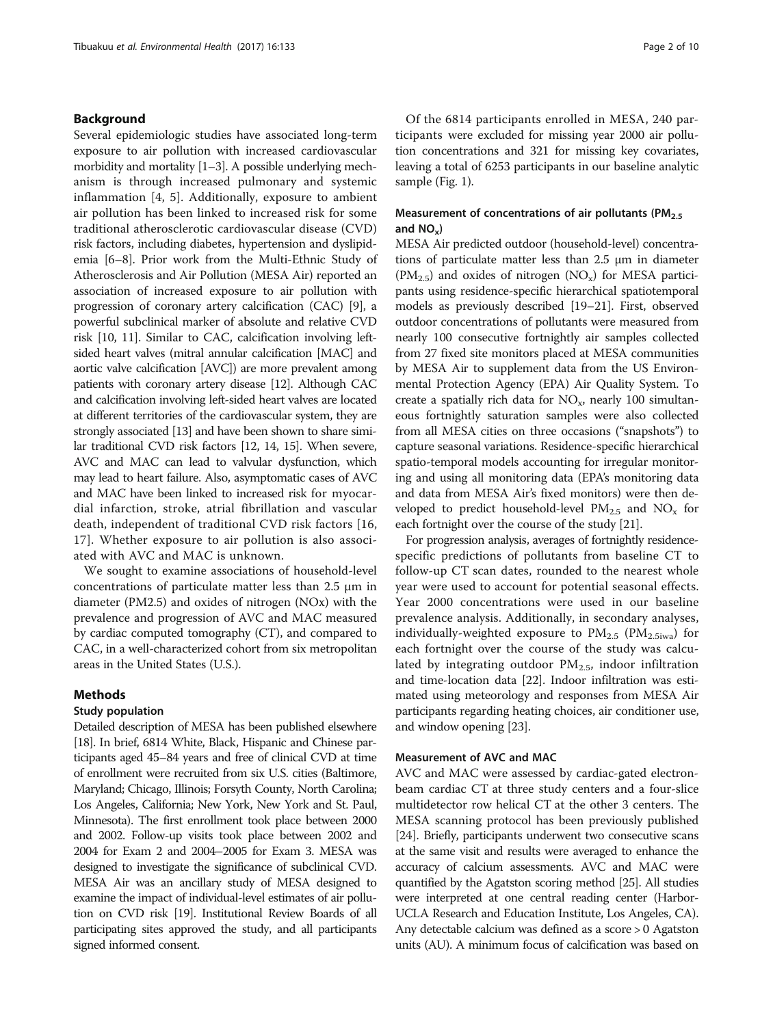## Background

Several epidemiologic studies have associated long-term exposure to air pollution with increased cardiovascular morbidity and mortality [[1](#page-8-0)–[3\]](#page-8-0). A possible underlying mechanism is through increased pulmonary and systemic inflammation [[4, 5](#page-8-0)]. Additionally, exposure to ambient air pollution has been linked to increased risk for some traditional atherosclerotic cardiovascular disease (CVD) risk factors, including diabetes, hypertension and dyslipidemia [[6](#page-8-0)–[8](#page-8-0)]. Prior work from the Multi-Ethnic Study of Atherosclerosis and Air Pollution (MESA Air) reported an association of increased exposure to air pollution with progression of coronary artery calcification (CAC) [\[9\]](#page-8-0), a powerful subclinical marker of absolute and relative CVD risk [\[10, 11](#page-8-0)]. Similar to CAC, calcification involving leftsided heart valves (mitral annular calcification [MAC] and aortic valve calcification [AVC]) are more prevalent among patients with coronary artery disease [[12\]](#page-8-0). Although CAC and calcification involving left-sided heart valves are located at different territories of the cardiovascular system, they are strongly associated [\[13\]](#page-8-0) and have been shown to share similar traditional CVD risk factors [\[12, 14, 15\]](#page-8-0). When severe, AVC and MAC can lead to valvular dysfunction, which may lead to heart failure. Also, asymptomatic cases of AVC and MAC have been linked to increased risk for myocardial infarction, stroke, atrial fibrillation and vascular death, independent of traditional CVD risk factors [\[16](#page-8-0), [17\]](#page-8-0). Whether exposure to air pollution is also associated with AVC and MAC is unknown.

We sought to examine associations of household-level concentrations of particulate matter less than 2.5 μm in diameter (PM2.5) and oxides of nitrogen (NOx) with the prevalence and progression of AVC and MAC measured by cardiac computed tomography (CT), and compared to CAC, in a well-characterized cohort from six metropolitan areas in the United States (U.S.).

## Methods

## Study population

Detailed description of MESA has been published elsewhere [[18\]](#page-8-0). In brief, 6814 White, Black, Hispanic and Chinese participants aged 45–84 years and free of clinical CVD at time of enrollment were recruited from six U.S. cities (Baltimore, Maryland; Chicago, Illinois; Forsyth County, North Carolina; Los Angeles, California; New York, New York and St. Paul, Minnesota). The first enrollment took place between 2000 and 2002. Follow-up visits took place between 2002 and 2004 for Exam 2 and 2004–2005 for Exam 3. MESA was designed to investigate the significance of subclinical CVD. MESA Air was an ancillary study of MESA designed to examine the impact of individual-level estimates of air pollution on CVD risk [\[19](#page-8-0)]. Institutional Review Boards of all participating sites approved the study, and all participants signed informed consent.

Of the 6814 participants enrolled in MESA, 240 participants were excluded for missing year 2000 air pollution concentrations and 321 for missing key covariates, leaving a total of 6253 participants in our baseline analytic sample (Fig. [1](#page-2-0)).

## Measurement of concentrations of air pollutants ( $PM<sub>2.5</sub>$ and  $NO_x$ )

MESA Air predicted outdoor (household-level) concentrations of particulate matter less than 2.5 μm in diameter  $(PM_{2.5})$  and oxides of nitrogen  $(NO_x)$  for MESA participants using residence-specific hierarchical spatiotemporal models as previously described [[19](#page-8-0)–[21\]](#page-8-0). First, observed outdoor concentrations of pollutants were measured from nearly 100 consecutive fortnightly air samples collected from 27 fixed site monitors placed at MESA communities by MESA Air to supplement data from the US Environmental Protection Agency (EPA) Air Quality System. To create a spatially rich data for  $NO<sub>x</sub>$ , nearly 100 simultaneous fortnightly saturation samples were also collected from all MESA cities on three occasions ("snapshots") to capture seasonal variations. Residence-specific hierarchical spatio-temporal models accounting for irregular monitoring and using all monitoring data (EPA's monitoring data and data from MESA Air's fixed monitors) were then developed to predict household-level  $PM_{2.5}$  and  $NO_{x}$  for each fortnight over the course of the study [\[21](#page-8-0)].

For progression analysis, averages of fortnightly residencespecific predictions of pollutants from baseline CT to follow-up CT scan dates, rounded to the nearest whole year were used to account for potential seasonal effects. Year 2000 concentrations were used in our baseline prevalence analysis. Additionally, in secondary analyses, individually-weighted exposure to  $PM_{2.5}$  (PM<sub>2.5iwa</sub>) for each fortnight over the course of the study was calculated by integrating outdoor  $PM<sub>2.5</sub>$ , indoor infiltration and time-location data [\[22](#page-8-0)]. Indoor infiltration was estimated using meteorology and responses from MESA Air participants regarding heating choices, air conditioner use, and window opening [\[23\]](#page-8-0).

#### Measurement of AVC and MAC

AVC and MAC were assessed by cardiac-gated electronbeam cardiac CT at three study centers and a four-slice multidetector row helical CT at the other 3 centers. The MESA scanning protocol has been previously published [[24\]](#page-8-0). Briefly, participants underwent two consecutive scans at the same visit and results were averaged to enhance the accuracy of calcium assessments. AVC and MAC were quantified by the Agatston scoring method [[25](#page-8-0)]. All studies were interpreted at one central reading center (Harbor-UCLA Research and Education Institute, Los Angeles, CA). Any detectable calcium was defined as a score > 0 Agatston units (AU). A minimum focus of calcification was based on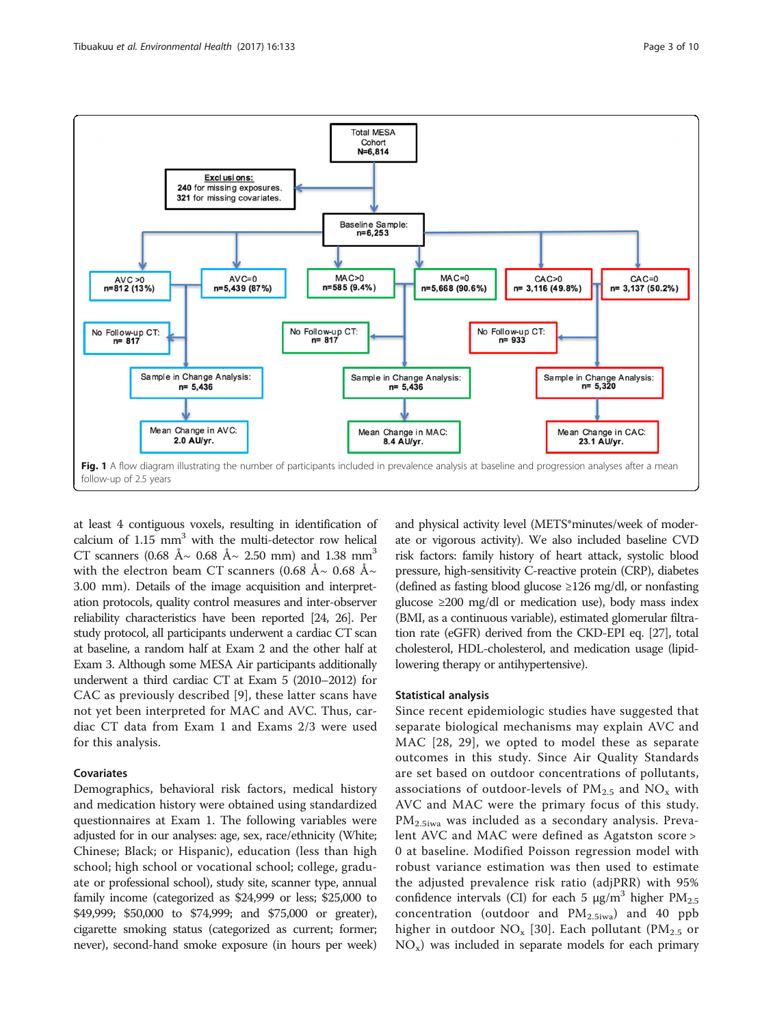<span id="page-2-0"></span>

at least 4 contiguous voxels, resulting in identification of calcium of  $1.15$  mm<sup>3</sup> with the multi-detector row helical CT scanners (0.68 Å $\sim$  0.68 Å $\sim$  2.50 mm) and 1.38 mm<sup>3</sup> with the electron beam CT scanners (0.68 Å $\sim$  0.68 Å $\sim$ 3.00 mm). Details of the image acquisition and interpretation protocols, quality control measures and inter-observer reliability characteristics have been reported [\[24, 26\]](#page-8-0). Per study protocol, all participants underwent a cardiac CT scan at baseline, a random half at Exam 2 and the other half at Exam 3. Although some MESA Air participants additionally underwent a third cardiac CT at Exam 5 (2010–2012) for CAC as previously described [\[9](#page-8-0)], these latter scans have not yet been interpreted for MAC and AVC. Thus, cardiac CT data from Exam 1 and Exams 2/3 were used for this analysis.

## Covariates

Demographics, behavioral risk factors, medical history and medication history were obtained using standardized questionnaires at Exam 1. The following variables were adjusted for in our analyses: age, sex, race/ethnicity (White; Chinese; Black; or Hispanic), education (less than high school; high school or vocational school; college, graduate or professional school), study site, scanner type, annual family income (categorized as \$24,999 or less; \$25,000 to \$49,999; \$50,000 to \$74,999; and \$75,000 or greater), cigarette smoking status (categorized as current; former; never), second-hand smoke exposure (in hours per week) and physical activity level (METS\*minutes/week of moderate or vigorous activity). We also included baseline CVD risk factors: family history of heart attack, systolic blood pressure, high-sensitivity C-reactive protein (CRP), diabetes (defined as fasting blood glucose ≥126 mg/dl, or nonfasting glucose ≥200 mg/dl or medication use), body mass index (BMI, as a continuous variable), estimated glomerular filtration rate (eGFR) derived from the CKD-EPI eq. [\[27](#page-8-0)], total cholesterol, HDL-cholesterol, and medication usage (lipidlowering therapy or antihypertensive).

#### Statistical analysis

Since recent epidemiologic studies have suggested that separate biological mechanisms may explain AVC and MAC [[28](#page-8-0), [29\]](#page-8-0), we opted to model these as separate outcomes in this study. Since Air Quality Standards are set based on outdoor concentrations of pollutants, associations of outdoor-levels of  $PM_{2.5}$  and  $NO_x$  with AVC and MAC were the primary focus of this study. PM2.5iwa was included as a secondary analysis. Prevalent AVC and MAC were defined as Agatston score > 0 at baseline. Modified Poisson regression model with robust variance estimation was then used to estimate the adjusted prevalence risk ratio (adjPRR) with 95% confidence intervals (CI) for each 5  $\mu$ g/m<sup>3</sup> higher PM<sub>2.5</sub> concentration (outdoor and  $PM_{2.5iwa}$ ) and 40 ppb higher in outdoor  $NO<sub>x</sub>$  [[30](#page-9-0)]. Each pollutant (PM<sub>2.5</sub> or  $NO_x$ ) was included in separate models for each primary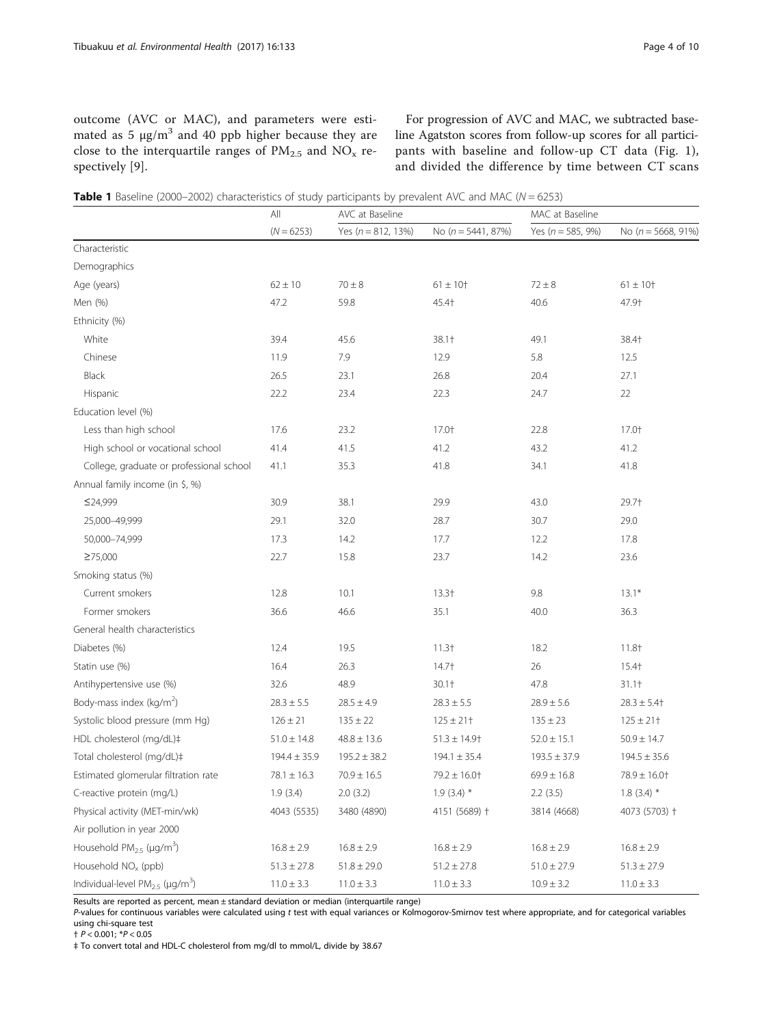<span id="page-3-0"></span>outcome (AVC or MAC), and parameters were estimated as 5  $\mu$ g/m<sup>3</sup> and 40 ppb higher because they are close to the interquartile ranges of  $PM_{2.5}$  and  $NO_x$  respectively [\[9](#page-8-0)].

For progression of AVC and MAC, we subtracted baseline Agatston scores from follow-up scores for all participants with baseline and follow-up CT data (Fig. [1](#page-2-0)), and divided the difference by time between CT scans

**Table 1** Baseline (2000–2002) characteristics of study participants by prevalent AVC and MAC ( $N = 6253$ )

|                                                  | All              | AVC at Baseline        |                      | MAC at Baseline       |                         |
|--------------------------------------------------|------------------|------------------------|----------------------|-----------------------|-------------------------|
|                                                  | $(N = 6253)$     | Yes ( $n = 812, 13\%)$ | No $(n = 5441, 87%)$ | Yes ( $n = 585, 9%$ ) | No ( $n = 5668, 91\%$ ) |
| Characteristic                                   |                  |                        |                      |                       |                         |
| Demographics                                     |                  |                        |                      |                       |                         |
| Age (years)                                      | $62 \pm 10$      | $70 \pm 8$             | $61 \pm 10^{+1}$     | $72 \pm 8$            | $61 \pm 10^{+1}$        |
| Men (%)                                          | 47.2             | 59.8                   | 45.4†                | 40.6                  | 47.9†                   |
| Ethnicity (%)                                    |                  |                        |                      |                       |                         |
| White                                            | 39.4             | 45.6                   | 38.1+                | 49.1                  | 38.4†                   |
| Chinese                                          | 11.9             | 7.9                    | 12.9                 | 5.8                   | 12.5                    |
| <b>Black</b>                                     | 26.5             | 23.1                   | 26.8                 | 20.4                  | 27.1                    |
| Hispanic                                         | 22.2             | 23.4                   | 22.3                 | 24.7                  | 22                      |
| Education level (%)                              |                  |                        |                      |                       |                         |
| Less than high school                            | 17.6             | 23.2                   | 17.0+                | 22.8                  | 17.0+                   |
| High school or vocational school                 | 41.4             | 41.5                   | 41.2                 | 43.2                  | 41.2                    |
| College, graduate or professional school         | 41.1             | 35.3                   | 41.8                 | 34.1                  | 41.8                    |
| Annual family income (in \$, %)                  |                  |                        |                      |                       |                         |
| ≤24,999                                          | 30.9             | 38.1                   | 29.9                 | 43.0                  | 29.7†                   |
| 25,000-49,999                                    | 29.1             | 32.0                   | 28.7                 | 30.7                  | 29.0                    |
| 50,000-74,999                                    | 17.3             | 14.2                   | 17.7                 | 12.2                  | 17.8                    |
| $\geq 75,000$                                    | 22.7             | 15.8                   | 23.7                 | 14.2                  | 23.6                    |
| Smoking status (%)                               |                  |                        |                      |                       |                         |
| Current smokers                                  | 12.8             | 10.1                   | $13.3+$              | 9.8                   | $13.1*$                 |
| Former smokers                                   | 36.6             | 46.6                   | 35.1                 | 40.0                  | 36.3                    |
| General health characteristics                   |                  |                        |                      |                       |                         |
| Diabetes (%)                                     | 12.4             | 19.5                   | $11.3+$              | 18.2                  | $11.8+$                 |
| Statin use (%)                                   | 16.4             | 26.3                   | 14.7†                | 26                    | 15.4†                   |
| Antihypertensive use (%)                         | 32.6             | 48.9                   | $30.1 +$             | 47.8                  | $31.1+$                 |
| Body-mass index (kg/m <sup>2</sup> )             | $28.3 \pm 5.5$   | $28.5 \pm 4.9$         | $28.3 \pm 5.5$       | $28.9 \pm 5.6$        | $28.3 \pm 5.4$ †        |
| Systolic blood pressure (mm Hg)                  | $126 \pm 21$     | $135 \pm 22$           | $125 \pm 21$ †       | $135 \pm 23$          | $125 \pm 21$ †          |
| HDL cholesterol (mg/dL)‡                         | $51.0 \pm 14.8$  | $48.8 \pm 13.6$        | $51.3 \pm 14.9$      | $52.0 \pm 15.1$       | $50.9 \pm 14.7$         |
| Total cholesterol (mg/dL)‡                       | $194.4 \pm 35.9$ | $195.2 \pm 38.2$       | $194.1 \pm 35.4$     | $193.5 \pm 37.9$      | $194.5 \pm 35.6$        |
| Estimated glomerular filtration rate             | $78.1 \pm 16.3$  | $70.9 \pm 16.5$        | $79.2 \pm 16.0$ t    | $69.9 \pm 16.8$       | $78.9 \pm 16.0$ t       |
| C-reactive protein (mg/L)                        | 1.9(3.4)         | 2.0(3.2)               | $1.9(3.4)$ *         | 2.2(3.5)              | $1.8(3.4)$ *            |
| Physical activity (MET-min/wk)                   | 4043 (5535)      | 3480 (4890)            | 4151 (5689) +        | 3814 (4668)           | 4073 (5703) +           |
| Air pollution in year 2000                       |                  |                        |                      |                       |                         |
| Household $PM_{2.5}$ (µg/m <sup>3</sup> )        | $16.8 \pm 2.9$   | $16.8 \pm 2.9$         | $16.8 \pm 2.9$       | $16.8 \pm 2.9$        | $16.8 \pm 2.9$          |
| Household $NOx$ (ppb)                            | $51.3 \pm 27.8$  | $51.8 \pm 29.0$        | $51.2 \pm 27.8$      | $51.0 \pm 27.9$       | $51.3 \pm 27.9$         |
| Individual-level $PM_{2.5}$ (µg/m <sup>3</sup> ) | $11.0 \pm 3.3$   | $11.0 \pm 3.3$         | $11.0 \pm 3.3$       | $10.9 \pm 3.2$        | $11.0 \pm 3.3$          |

Results are reported as percent, mean ± standard deviation or median (interquartile range)

P-values for continuous variables were calculated using t test with equal variances or Kolmogorov-Smirnov test where appropriate, and for categorical variables using chi-square test

 $\frac{1}{2}$  P < 0.001;  $^{*}$ P < 0.05

‡ To convert total and HDL-C cholesterol from mg/dl to mmol/L, divide by 38.67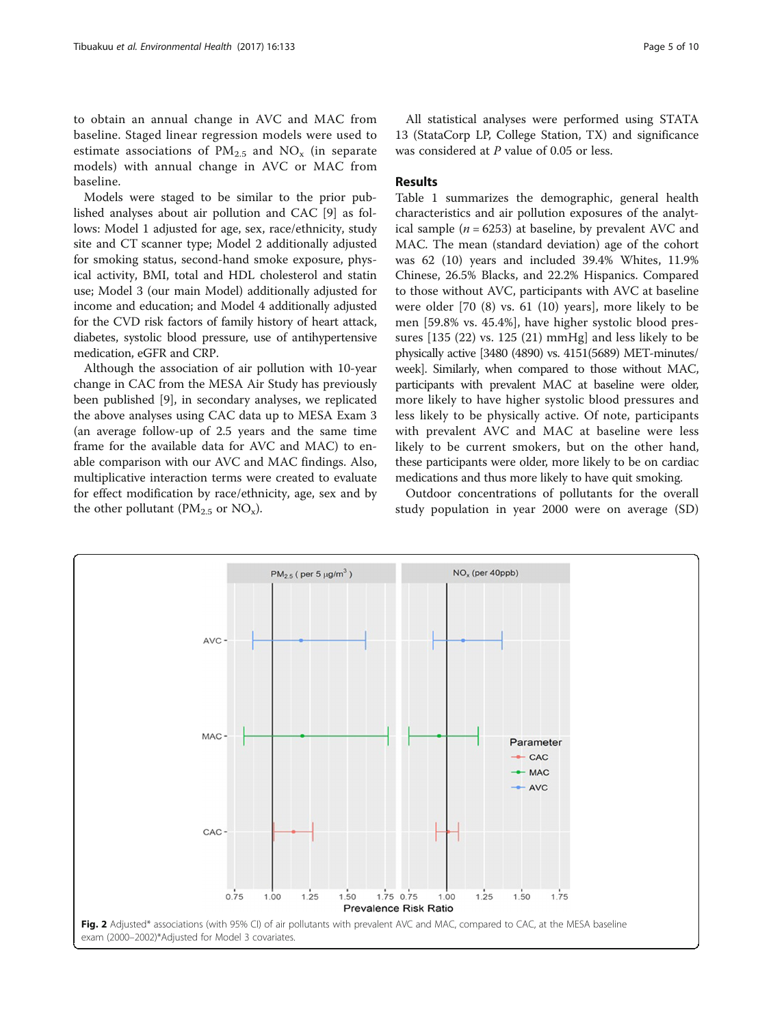<span id="page-4-0"></span>to obtain an annual change in AVC and MAC from baseline. Staged linear regression models were used to estimate associations of  $PM_{2.5}$  and  $NO_x$  (in separate models) with annual change in AVC or MAC from baseline.

Models were staged to be similar to the prior published analyses about air pollution and CAC [[9\]](#page-8-0) as follows: Model 1 adjusted for age, sex, race/ethnicity, study site and CT scanner type; Model 2 additionally adjusted for smoking status, second-hand smoke exposure, physical activity, BMI, total and HDL cholesterol and statin use; Model 3 (our main Model) additionally adjusted for income and education; and Model 4 additionally adjusted for the CVD risk factors of family history of heart attack, diabetes, systolic blood pressure, use of antihypertensive medication, eGFR and CRP.

Although the association of air pollution with 10-year change in CAC from the MESA Air Study has previously been published [\[9\]](#page-8-0), in secondary analyses, we replicated the above analyses using CAC data up to MESA Exam 3 (an average follow-up of 2.5 years and the same time frame for the available data for AVC and MAC) to enable comparison with our AVC and MAC findings. Also, multiplicative interaction terms were created to evaluate for effect modification by race/ethnicity, age, sex and by the other pollutant ( $PM_{2.5}$  or  $NO_x$ ).

All statistical analyses were performed using STATA 13 (StataCorp LP, College Station, TX) and significance was considered at  $P$  value of 0.05 or less.

## Results

Table [1](#page-3-0) summarizes the demographic, general health characteristics and air pollution exposures of the analytical sample ( $n = 6253$ ) at baseline, by prevalent AVC and MAC. The mean (standard deviation) age of the cohort was 62 (10) years and included 39.4% Whites, 11.9% Chinese, 26.5% Blacks, and 22.2% Hispanics. Compared to those without AVC, participants with AVC at baseline were older [70 (8) vs. 61 (10) years], more likely to be men [59.8% vs. 45.4%], have higher systolic blood pressures [135 (22) vs. 125 (21) mmHg] and less likely to be physically active [3480 (4890) vs. 4151(5689) MET-minutes/ week]. Similarly, when compared to those without MAC, participants with prevalent MAC at baseline were older, more likely to have higher systolic blood pressures and less likely to be physically active. Of note, participants with prevalent AVC and MAC at baseline were less likely to be current smokers, but on the other hand, these participants were older, more likely to be on cardiac medications and thus more likely to have quit smoking.

Outdoor concentrations of pollutants for the overall study population in year 2000 were on average (SD)

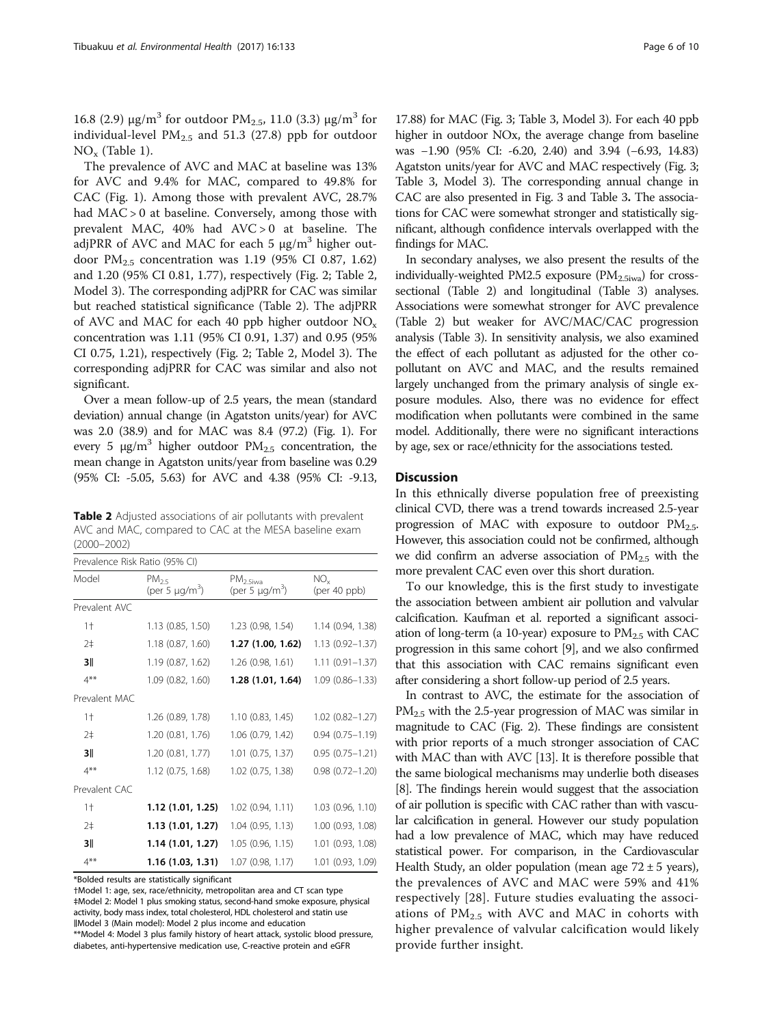16.8 (2.9) μg/m<sup>3</sup> for outdoor PM<sub>2.5</sub>, 11.0 (3.3) μg/m<sup>3</sup> for individual-level  $PM_{2.5}$  and 51.3 (27.8) ppb for outdoor  $NO_x$  (Table [1](#page-3-0)).

The prevalence of AVC and MAC at baseline was 13% for AVC and 9.4% for MAC, compared to 49.8% for CAC (Fig. [1\)](#page-2-0). Among those with prevalent AVC, 28.7% had MAC > 0 at baseline. Conversely, among those with prevalent MAC, 40% had AVC > 0 at baseline. The adjPRR of AVC and MAC for each 5  $\mu$ g/m<sup>3</sup> higher outdoor  $PM_{2.5}$  concentration was 1.19 (95% CI 0.87, 1.62) and 1.20 (95% CI 0.81, 1.77), respectively (Fig. [2](#page-4-0); Table 2, Model 3). The corresponding adjPRR for CAC was similar but reached statistical significance (Table 2). The adjPRR of AVC and MAC for each 40 ppb higher outdoor  $NO<sub>x</sub>$ concentration was 1.11 (95% CI 0.91, 1.37) and 0.95 (95% CI 0.75, 1.21), respectively (Fig. [2;](#page-4-0) Table 2, Model 3). The corresponding adjPRR for CAC was similar and also not significant.

Over a mean follow-up of 2.5 years, the mean (standard deviation) annual change (in Agatston units/year) for AVC was 2.0 (38.9) and for MAC was 8.4 (97.2) (Fig. [1\)](#page-2-0). For every 5  $\mu$ g/m<sup>3</sup> higher outdoor PM<sub>2.5</sub> concentration, the mean change in Agatston units/year from baseline was 0.29 (95% CI: -5.05, 5.63) for AVC and 4.38 (95% CI: -9.13,

Table 2 Adjusted associations of air pollutants with prevalent AVC and MAC, compared to CAC at the MESA baseline exam (2000–2002)

| Prevalence Risk Ratio (95% CI) |                                              |                                                         |                              |  |  |  |
|--------------------------------|----------------------------------------------|---------------------------------------------------------|------------------------------|--|--|--|
| Model                          | $PM_{25}$<br>(per 5 $\mu$ g/m <sup>3</sup> ) | PM <sub>2.5iwa</sub><br>(per 5 $\mu$ g/m <sup>3</sup> ) | $NO_{\rm v}$<br>(per 40 ppb) |  |  |  |
| Prevalent AVC                  |                                              |                                                         |                              |  |  |  |
| $1+$                           | 1.13(0.85, 1.50)                             | 1.23 (0.98, 1.54)                                       | 1.14(0.94, 1.38)             |  |  |  |
| 2 <sup>†</sup>                 | 1.18(0.87, 1.60)                             | 1.27 (1.00, 1.62)                                       | $1.13(0.92 - 1.37)$          |  |  |  |
| 311                            | 1.19 (0.87, 1.62)                            | 1.26(0.98, 1.61)                                        | $1.11(0.91 - 1.37)$          |  |  |  |
| $4***$                         | 1.09 (0.82, 1.60)                            | 1.28 (1.01, 1.64)                                       | $1.09(0.86 - 1.33)$          |  |  |  |
| Prevalent MAC                  |                                              |                                                         |                              |  |  |  |
| $1+$                           | 1.26 (0.89, 1.78)                            | 1.10(0.83, 1.45)                                        | $1.02(0.82 - 1.27)$          |  |  |  |
| 2 <sup>†</sup>                 | 1.20 (0.81, 1.76)                            | 1.06 (0.79, 1.42)                                       | $0.94(0.75 - 1.19)$          |  |  |  |
| 31                             | 1.20 (0.81, 1.77)                            | 1.01 (0.75, 1.37)                                       | $0.95(0.75 - 1.21)$          |  |  |  |
| $4***$                         | 1.12 (0.75, 1.68)                            | 1.02 (0.75, 1.38)                                       | $0.98(0.72 - 1.20)$          |  |  |  |
| Prevalent CAC                  |                                              |                                                         |                              |  |  |  |
| $1+$                           | 1.12 (1.01, 1.25)                            | 1.02(0.94, 1.11)                                        | 1.03(0.96, 1.10)             |  |  |  |
| 2 <sup>†</sup>                 | 1.13 (1.01, 1.27)                            | 1.04(0.95, 1.13)                                        | 1.00 (0.93, 1.08)            |  |  |  |
| 311                            | 1.14 (1.01, 1.27)                            | 1.05(0.96, 1.15)                                        | 1.01 (0.93, 1.08)            |  |  |  |
| $4***$                         | 1.16 (1.03, 1.31)                            | 1.07 (0.98, 1.17)                                       | 1.01 (0.93, 1.09)            |  |  |  |

\*Bolded results are statistically significant

†Model 1: age, sex, race/ethnicity, metropolitan area and CT scan type ‡Model 2: Model 1 plus smoking status, second-hand smoke exposure, physical activity, body mass index, total cholesterol, HDL cholesterol and statin use ‖Model 3 (Main model): Model 2 plus income and education

\*\*Model 4: Model 3 plus family history of heart attack, systolic blood pressure, diabetes, anti-hypertensive medication use, C-reactive protein and eGFR

17.88) for MAC (Fig. [3;](#page-6-0) Table [3](#page-6-0), Model 3). For each 40 ppb higher in outdoor NOx, the average change from baseline was −1.90 (95% CI: -6.20, 2.40) and 3.94 (−6.93, 14.83) Agatston units/year for AVC and MAC respectively (Fig. [3](#page-6-0); Table [3](#page-6-0), Model 3). The corresponding annual change in CAC are also presented in Fig. [3](#page-6-0) and Table [3](#page-6-0). The associations for CAC were somewhat stronger and statistically significant, although confidence intervals overlapped with the findings for MAC.

In secondary analyses, we also present the results of the individually-weighted PM2.5 exposure  $(PM_{2.5iwa})$  for crosssectional (Table 2) and longitudinal (Table [3](#page-6-0)) analyses. Associations were somewhat stronger for AVC prevalence (Table 2) but weaker for AVC/MAC/CAC progression analysis (Table [3](#page-6-0)). In sensitivity analysis, we also examined the effect of each pollutant as adjusted for the other copollutant on AVC and MAC, and the results remained largely unchanged from the primary analysis of single exposure modules. Also, there was no evidence for effect modification when pollutants were combined in the same model. Additionally, there were no significant interactions by age, sex or race/ethnicity for the associations tested.

## **Discussion**

In this ethnically diverse population free of preexisting clinical CVD, there was a trend towards increased 2.5-year progression of MAC with exposure to outdoor  $PM_{2.5}$ . However, this association could not be confirmed, although we did confirm an adverse association of  $PM_{2.5}$  with the more prevalent CAC even over this short duration.

To our knowledge, this is the first study to investigate the association between ambient air pollution and valvular calcification. Kaufman et al. reported a significant association of long-term (a 10-year) exposure to  $PM_{2.5}$  with CAC progression in this same cohort [\[9\]](#page-8-0), and we also confirmed that this association with CAC remains significant even after considering a short follow-up period of 2.5 years.

In contrast to AVC, the estimate for the association of  $PM_{2.5}$  with the 2.5-year progression of MAC was similar in magnitude to CAC (Fig. [2\)](#page-4-0). These findings are consistent with prior reports of a much stronger association of CAC with MAC than with AVC [[13\]](#page-8-0). It is therefore possible that the same biological mechanisms may underlie both diseases [[8](#page-8-0)]. The findings herein would suggest that the association of air pollution is specific with CAC rather than with vascular calcification in general. However our study population had a low prevalence of MAC, which may have reduced statistical power. For comparison, in the Cardiovascular Health Study, an older population (mean age  $72 \pm 5$  years), the prevalences of AVC and MAC were 59% and 41% respectively [\[28\]](#page-8-0). Future studies evaluating the associations of  $PM_{2.5}$  with AVC and MAC in cohorts with higher prevalence of valvular calcification would likely provide further insight.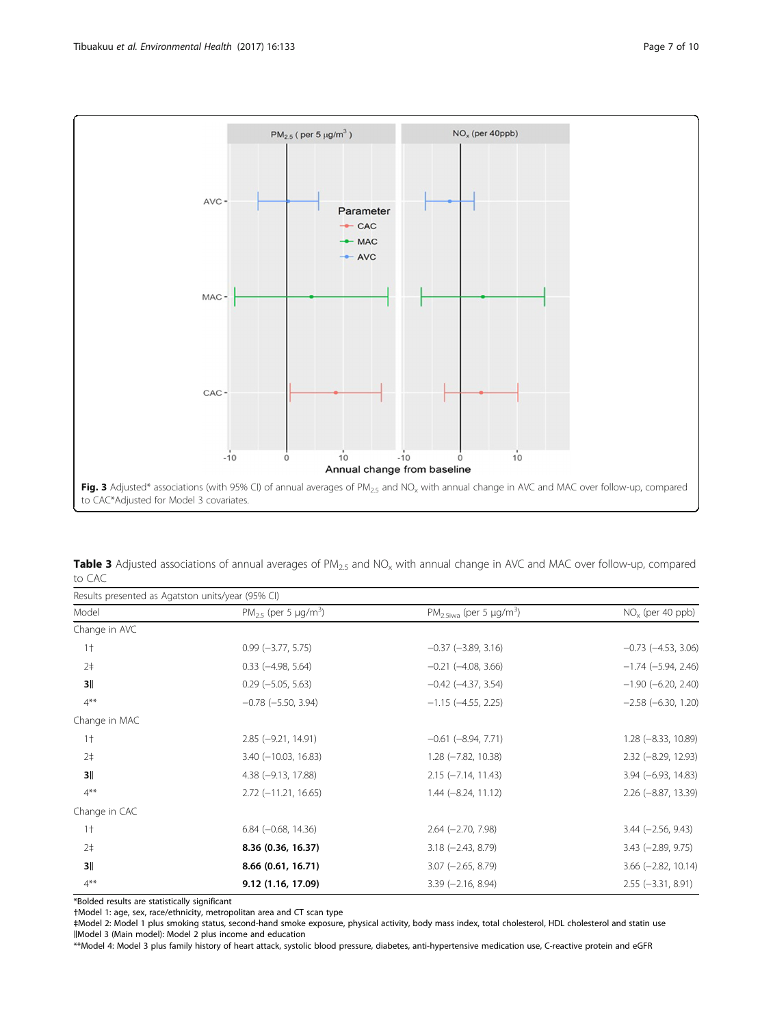<span id="page-6-0"></span>

Table 3 Adjusted associations of annual averages of  $PM_{2.5}$  and  $NO_x$  with annual change in AVC and MAC over follow-up, compared to CAC

| Results presented as Agatston units/year (95% CI) |                                      |                                       |                           |  |  |
|---------------------------------------------------|--------------------------------------|---------------------------------------|---------------------------|--|--|
| Model                                             | $PM_{25}$ (per 5 µg/m <sup>3</sup> ) | $PM2.5iwa$ (per 5 µg/m <sup>3</sup> ) | $NOx$ (per 40 ppb)        |  |  |
| Change in AVC                                     |                                      |                                       |                           |  |  |
| $1+$                                              | $0.99 (-3.77, 5.75)$                 | $-0.37$ ( $-3.89$ , 3.16)             | $-0.73$ $(-4.53, 3.06)$   |  |  |
| 2 <sup>†</sup>                                    | $0.33$ ( $-4.98$ , 5.64)             | $-0.21$ ( $-4.08$ , 3.66)             | $-1.74 (-5.94, 2.46)$     |  |  |
| 3                                                 | $0.29$ ( $-5.05$ , 5.63)             | $-0.42$ ( $-4.37$ , 3.54)             | $-1.90$ (-6.20, 2.40)     |  |  |
| $4***$                                            | $-0.78$ ( $-5.50$ , 3.94)            | $-1.15$ ( $-4.55$ , 2.25)             | $-2.58$ $(-6.30, 1.20)$   |  |  |
| Change in MAC                                     |                                      |                                       |                           |  |  |
| $1+$                                              | $2.85 (-9.21, 14.91)$                | $-0.61$ $(-8.94, 7.71)$               | $1.28 (-8.33, 10.89)$     |  |  |
| 2 <sup>†</sup>                                    | $3.40$ ( $-10.03$ , $16.83$ )        | $1.28 (-7.82, 10.38)$                 | $2.32 (-8.29, 12.93)$     |  |  |
| 311                                               | $4.38$ ( $-9.13$ , 17.88)            | $2.15$ (-7.14, 11.43)                 | $3.94 (-6.93, 14.83)$     |  |  |
| $4***$                                            | $2.72$ (-11.21, 16.65)               | $1.44 (-8.24, 11.12)$                 | $2.26 (-8.87, 13.39)$     |  |  |
| Change in CAC                                     |                                      |                                       |                           |  |  |
| $1+$                                              | $6.84 (-0.68, 14.36)$                | $2.64 (-2.70, 7.98)$                  | $3.44 (-2.56, 9.43)$      |  |  |
| 2 <sup>†</sup>                                    | 8.36 (0.36, 16.37)                   | $3.18 (-2.43, 8.79)$                  | $3.43$ (-2.89, 9.75)      |  |  |
| 311                                               | 8.66 (0.61, 16.71)                   | $3.07$ (-2.65, 8.79)                  | $3.66$ ( $-2.82$ , 10.14) |  |  |
| $4***$                                            | 9.12 (1.16, 17.09)                   | $3.39$ (-2.16, 8.94)                  | $2.55 (-3.31, 8.91)$      |  |  |

\*Bolded results are statistically significant

†Model 1: age, sex, race/ethnicity, metropolitan area and CT scan type

‡Model 2: Model 1 plus smoking status, second-hand smoke exposure, physical activity, body mass index, total cholesterol, HDL cholesterol and statin use ‖Model 3 (Main model): Model 2 plus income and education

\*\*Model 4: Model 3 plus family history of heart attack, systolic blood pressure, diabetes, anti-hypertensive medication use, C-reactive protein and eGFR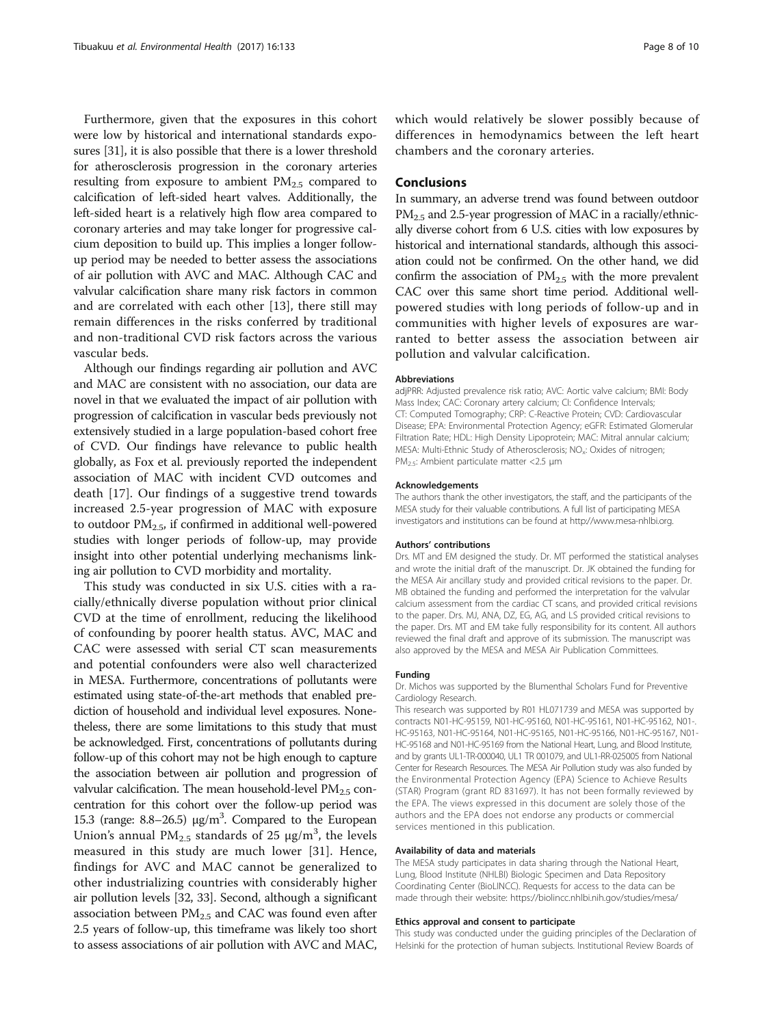Furthermore, given that the exposures in this cohort were low by historical and international standards exposures [\[31\]](#page-9-0), it is also possible that there is a lower threshold for atherosclerosis progression in the coronary arteries resulting from exposure to ambient  $PM_{2.5}$  compared to calcification of left-sided heart valves. Additionally, the left-sided heart is a relatively high flow area compared to coronary arteries and may take longer for progressive calcium deposition to build up. This implies a longer followup period may be needed to better assess the associations of air pollution with AVC and MAC. Although CAC and valvular calcification share many risk factors in common and are correlated with each other [[13\]](#page-8-0), there still may remain differences in the risks conferred by traditional and non-traditional CVD risk factors across the various vascular beds.

Although our findings regarding air pollution and AVC and MAC are consistent with no association, our data are novel in that we evaluated the impact of air pollution with progression of calcification in vascular beds previously not extensively studied in a large population-based cohort free of CVD. Our findings have relevance to public health globally, as Fox et al. previously reported the independent association of MAC with incident CVD outcomes and death [[17\]](#page-8-0). Our findings of a suggestive trend towards increased 2.5-year progression of MAC with exposure to outdoor  $PM_{2.5}$ , if confirmed in additional well-powered studies with longer periods of follow-up, may provide insight into other potential underlying mechanisms linking air pollution to CVD morbidity and mortality.

This study was conducted in six U.S. cities with a racially/ethnically diverse population without prior clinical CVD at the time of enrollment, reducing the likelihood of confounding by poorer health status. AVC, MAC and CAC were assessed with serial CT scan measurements and potential confounders were also well characterized in MESA. Furthermore, concentrations of pollutants were estimated using state-of-the-art methods that enabled prediction of household and individual level exposures. Nonetheless, there are some limitations to this study that must be acknowledged. First, concentrations of pollutants during follow-up of this cohort may not be high enough to capture the association between air pollution and progression of valvular calcification. The mean household-level  $PM_{2.5}$  concentration for this cohort over the follow-up period was 15.3 (range: 8.8–26.5)  $\mu$ g/m<sup>3</sup>. Compared to the European Union's annual  $PM_{2.5}$  standards of 25  $\mu$ g/m<sup>3</sup>, the levels measured in this study are much lower [[31](#page-9-0)]. Hence, findings for AVC and MAC cannot be generalized to other industrializing countries with considerably higher air pollution levels [\[32, 33\]](#page-9-0). Second, although a significant association between  $PM<sub>2.5</sub>$  and CAC was found even after 2.5 years of follow-up, this timeframe was likely too short to assess associations of air pollution with AVC and MAC, which would relatively be slower possibly because of differences in hemodynamics between the left heart chambers and the coronary arteries.

## Conclusions

In summary, an adverse trend was found between outdoor  $PM_{2.5}$  and 2.5-year progression of MAC in a racially/ethnically diverse cohort from 6 U.S. cities with low exposures by historical and international standards, although this association could not be confirmed. On the other hand, we did confirm the association of  $PM_{2.5}$  with the more prevalent CAC over this same short time period. Additional wellpowered studies with long periods of follow-up and in communities with higher levels of exposures are warranted to better assess the association between air pollution and valvular calcification.

#### Abbreviations

adjPRR: Adjusted prevalence risk ratio; AVC: Aortic valve calcium; BMI: Body Mass Index; CAC: Coronary artery calcium; CI: Confidence Intervals; CT: Computed Tomography; CRP: C-Reactive Protein; CVD: Cardiovascular Disease; EPA: Environmental Protection Agency; eGFR: Estimated Glomerular Filtration Rate; HDL: High Density Lipoprotein; MAC: Mitral annular calcium; MESA: Multi-Ethnic Study of Atherosclerosis; NO<sub>x</sub>: Oxides of nitrogen; PM2.5: Ambient particulate matter <2.5 μm

#### Acknowledgements

The authors thank the other investigators, the staff, and the participants of the MESA study for their valuable contributions. A full list of participating MESA investigators and institutions can be found at [http://www.mesa-nhlbi.org.](http://www.mesa-nhlbi.org)

#### Authors' contributions

Drs. MT and EM designed the study. Dr. MT performed the statistical analyses and wrote the initial draft of the manuscript. Dr. JK obtained the funding for the MESA Air ancillary study and provided critical revisions to the paper. Dr. MB obtained the funding and performed the interpretation for the valvular calcium assessment from the cardiac CT scans, and provided critical revisions to the paper. Drs. MJ, ANA, DZ, EG, AG, and LS provided critical revisions to the paper. Drs. MT and EM take fully responsibility for its content. All authors reviewed the final draft and approve of its submission. The manuscript was also approved by the MESA and MESA Air Publication Committees.

#### Funding

Dr. Michos was supported by the Blumenthal Scholars Fund for Preventive Cardiology Research.

This research was supported by R01 HL071739 and MESA was supported by contracts N01-HC-95159, N01-HC-95160, N01-HC-95161, N01-HC-95162, N01-. HC-95163, N01-HC-95164, N01-HC-95165, N01-HC-95166, N01-HC-95167, N01- HC-95168 and N01-HC-95169 from the National Heart, Lung, and Blood Institute, and by grants UL1-TR-000040, UL1 TR 001079, and UL1-RR-025005 from National Center for Research Resources. The MESA Air Pollution study was also funded by the Environmental Protection Agency (EPA) Science to Achieve Results (STAR) Program (grant RD 831697). It has not been formally reviewed by the EPA. The views expressed in this document are solely those of the authors and the EPA does not endorse any products or commercial services mentioned in this publication.

#### Availability of data and materials

The MESA study participates in data sharing through the National Heart, Lung, Blood Institute (NHLBI) Biologic Specimen and Data Repository Coordinating Center (BioLINCC). Requests for access to the data can be made through their website:<https://biolincc.nhlbi.nih.gov/studies/mesa/>

#### Ethics approval and consent to participate

This study was conducted under the guiding principles of the Declaration of Helsinki for the protection of human subjects. Institutional Review Boards of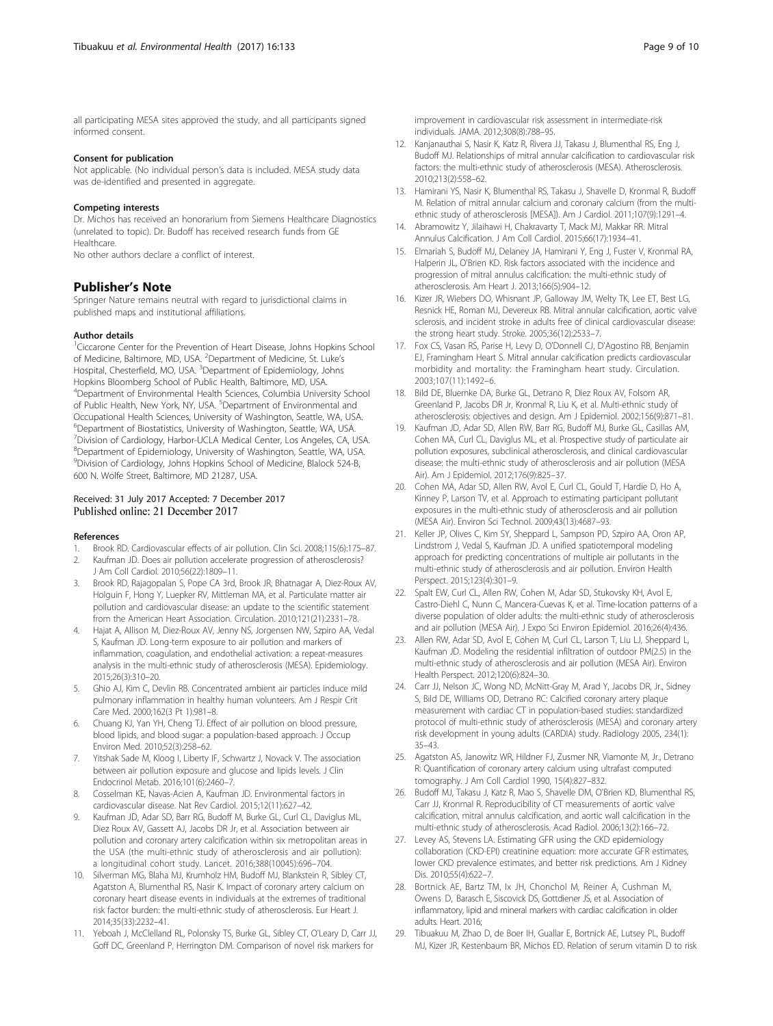<span id="page-8-0"></span>all participating MESA sites approved the study, and all participants signed informed consent.

#### Consent for publication

Not applicable. (No individual person's data is included. MESA study data was de-identified and presented in aggregate.

#### Competing interests

Dr. Michos has received an honorarium from Siemens Healthcare Diagnostics (unrelated to topic). Dr. Budoff has received research funds from GE Healthcare.

No other authors declare a conflict of interest.

## Publisher's Note

Springer Nature remains neutral with regard to jurisdictional claims in published maps and institutional affiliations.

#### Author details

<sup>1</sup>Ciccarone Center for the Prevention of Heart Disease, Johns Hopkins School of Medicine, Baltimore, MD, USA. <sup>2</sup>Department of Medicine, St. Luke's Hospital, Chesterfield, MO, USA. <sup>3</sup>Department of Epidemiology, Johns Hopkins Bloomberg School of Public Health, Baltimore, MD, USA. 4 Department of Environmental Health Sciences, Columbia University School of Public Health, New York, NY, USA. <sup>5</sup>Department of Environmental and Occupational Health Sciences, University of Washington, Seattle, WA, USA. 6 Department of Biostatistics, University of Washington, Seattle, WA, USA. <sup>7</sup> Division of Cardiology, Harbor-UCLA Medical Center, Los Angeles, CA, USA. 8 Department of Epidemiology, University of Washington, Seattle, WA, USA. <sup>9</sup> Division of Cardiology, Johns Hopkins School of Medicine, Blalock 524-B 600 N. Wolfe Street, Baltimore, MD 21287, USA.

#### Received: 31 July 2017 Accepted: 7 December 2017 Published online: 21 December 2017

#### References

- 1. Brook RD. Cardiovascular effects of air pollution. Clin Sci. 2008;115(6):175–87.
- 2. Kaufman JD. Does air pollution accelerate progression of atherosclerosis? J Am Coll Cardiol. 2010;56(22):1809–11.
- 3. Brook RD, Rajagopalan S, Pope CA 3rd, Brook JR, Bhatnagar A, Diez-Roux AV, Holguin F, Hong Y, Luepker RV, Mittleman MA, et al. Particulate matter air pollution and cardiovascular disease: an update to the scientific statement from the American Heart Association. Circulation. 2010;121(21):2331–78.
- 4. Hajat A, Allison M, Diez-Roux AV, Jenny NS, Jorgensen NW, Szpiro AA, Vedal S, Kaufman JD. Long-term exposure to air pollution and markers of inflammation, coagulation, and endothelial activation: a repeat-measures analysis in the multi-ethnic study of atherosclerosis (MESA). Epidemiology. 2015;26(3):310–20.
- 5. Ghio AJ, Kim C, Devlin RB. Concentrated ambient air particles induce mild pulmonary inflammation in healthy human volunteers. Am J Respir Crit Care Med. 2000;162(3 Pt 1):981–8.
- 6. Chuang KJ, Yan YH, Cheng TJ. Effect of air pollution on blood pressure, blood lipids, and blood sugar: a population-based approach. J Occup Environ Med. 2010;52(3):258–62.
- Yitshak Sade M, Kloog I, Liberty IF, Schwartz J, Novack V. The association between air pollution exposure and glucose and lipids levels. J Clin Endocrinol Metab. 2016;101(6):2460–7.
- 8. Cosselman KE, Navas-Acien A, Kaufman JD. Environmental factors in cardiovascular disease. Nat Rev Cardiol. 2015;12(11):627–42.
- Kaufman JD, Adar SD, Barr RG, Budoff M, Burke GL, Curl CL, Daviglus ML, Diez Roux AV, Gassett AJ, Jacobs DR Jr, et al. Association between air pollution and coronary artery calcification within six metropolitan areas in the USA (the multi-ethnic study of atherosclerosis and air pollution): a longitudinal cohort study. Lancet. 2016;388(10045):696–704.
- 10. Silverman MG, Blaha MJ, Krumholz HM, Budoff MJ, Blankstein R, Sibley CT, Agatston A, Blumenthal RS, Nasir K. Impact of coronary artery calcium on coronary heart disease events in individuals at the extremes of traditional risk factor burden: the multi-ethnic study of atherosclerosis. Eur Heart J. 2014;35(33):2232–41.
- 11. Yeboah J, McClelland RL, Polonsky TS, Burke GL, Sibley CT, O'Leary D, Carr JJ, Goff DC, Greenland P, Herrington DM. Comparison of novel risk markers for

improvement in cardiovascular risk assessment in intermediate-risk individuals. JAMA. 2012;308(8):788–95.

- 12. Kanjanauthai S, Nasir K, Katz R, Rivera JJ, Takasu J, Blumenthal RS, Eng J, Budoff MJ. Relationships of mitral annular calcification to cardiovascular risk factors: the multi-ethnic study of atherosclerosis (MESA). Atherosclerosis. 2010;213(2):558–62.
- 13. Hamirani YS, Nasir K, Blumenthal RS, Takasu J, Shavelle D, Kronmal R, Budoff M. Relation of mitral annular calcium and coronary calcium (from the multiethnic study of atherosclerosis [MESA]). Am J Cardiol. 2011;107(9):1291–4.
- 14. Abramowitz Y, Jilaihawi H, Chakravarty T, Mack MJ, Makkar RR. Mitral Annulus Calcification. J Am Coll Cardiol. 2015;66(17):1934–41.
- 15. Elmariah S, Budoff MJ, Delaney JA, Hamirani Y, Eng J, Fuster V, Kronmal RA, Halperin JL, O'Brien KD. Risk factors associated with the incidence and progression of mitral annulus calcification: the multi-ethnic study of atherosclerosis. Am Heart J. 2013;166(5):904–12.
- 16. Kizer JR, Wiebers DO, Whisnant JP, Galloway JM, Welty TK, Lee ET, Best LG, Resnick HE, Roman MJ, Devereux RB. Mitral annular calcification, aortic valve sclerosis, and incident stroke in adults free of clinical cardiovascular disease: the strong heart study. Stroke. 2005;36(12):2533–7.
- 17. Fox CS, Vasan RS, Parise H, Levy D, O'Donnell CJ, D'Agostino RB, Benjamin EJ, Framingham Heart S. Mitral annular calcification predicts cardiovascular morbidity and mortality: the Framingham heart study. Circulation. 2003;107(11):1492–6.
- 18. Bild DE, Bluemke DA, Burke GL, Detrano R, Diez Roux AV, Folsom AR, Greenland P, Jacobs DR Jr, Kronmal R, Liu K, et al. Multi-ethnic study of atherosclerosis: objectives and design. Am J Epidemiol. 2002;156(9):871–81.
- 19. Kaufman JD, Adar SD, Allen RW, Barr RG, Budoff MJ, Burke GL, Casillas AM, Cohen MA, Curl CL, Daviglus ML, et al. Prospective study of particulate air pollution exposures, subclinical atherosclerosis, and clinical cardiovascular disease: the multi-ethnic study of atherosclerosis and air pollution (MESA Air). Am J Epidemiol. 2012;176(9):825–37.
- 20. Cohen MA, Adar SD, Allen RW, Avol E, Curl CL, Gould T, Hardie D, Ho A, Kinney P, Larson TV, et al. Approach to estimating participant pollutant exposures in the multi-ethnic study of atherosclerosis and air pollution (MESA Air). Environ Sci Technol. 2009;43(13):4687–93.
- 21. Keller JP, Olives C, Kim SY, Sheppard L, Sampson PD, Szpiro AA, Oron AP, Lindstrom J, Vedal S, Kaufman JD. A unified spatiotemporal modeling approach for predicting concentrations of multiple air pollutants in the multi-ethnic study of atherosclerosis and air pollution. Environ Health Perspect. 2015;123(4):301–9.
- 22. Spalt EW, Curl CL, Allen RW, Cohen M, Adar SD, Stukovsky KH, Avol E, Castro-Diehl C, Nunn C, Mancera-Cuevas K, et al. Time-location patterns of a diverse population of older adults: the multi-ethnic study of atherosclerosis and air pollution (MESA Air). J Expo Sci Environ Epidemiol. 2016;26(4):436.
- 23. Allen RW, Adar SD, Avol E, Cohen M, Curl CL, Larson T, Liu LJ, Sheppard L, Kaufman JD. Modeling the residential infiltration of outdoor PM(2.5) in the multi-ethnic study of atherosclerosis and air pollution (MESA Air). Environ Health Perspect. 2012;120(6):824–30.
- 24. Carr JJ, Nelson JC, Wong ND, McNitt-Gray M, Arad Y, Jacobs DR, Jr., Sidney S, Bild DE, Williams OD, Detrano RC: Calcified coronary artery plaque measurement with cardiac CT in population-based studies: standardized protocol of multi-ethnic study of atherosclerosis (MESA) and coronary artery risk development in young adults (CARDIA) study. Radiology 2005, 234(1): 35–43.
- 25. Agatston AS, Janowitz WR, Hildner FJ, Zusmer NR, Viamonte M, Jr., Detrano R: Quantification of coronary artery calcium using ultrafast computed tomography. J Am Coll Cardiol 1990, 15(4):827–832.
- 26. Budoff MJ, Takasu J, Katz R, Mao S, Shavelle DM, O'Brien KD, Blumenthal RS, Carr JJ, Kronmal R. Reproducibility of CT measurements of aortic valve calcification, mitral annulus calcification, and aortic wall calcification in the multi-ethnic study of atherosclerosis. Acad Radiol. 2006;13(2):166–72.
- 27. Levey AS, Stevens LA. Estimating GFR using the CKD epidemiology collaboration (CKD-EPI) creatinine equation: more accurate GFR estimates, lower CKD prevalence estimates, and better risk predictions. Am J Kidney Dis. 2010;55(4):622–7.
- 28. Bortnick AE, Bartz TM, Ix JH, Chonchol M, Reiner A, Cushman M, Owens D, Barasch E, Siscovick DS, Gottdiener JS, et al. Association of inflammatory, lipid and mineral markers with cardiac calcification in older adults. Heart. 2016;
- 29. Tibuakuu M, Zhao D, de Boer IH, Guallar E, Bortnick AE, Lutsey PL, Budoff MJ, Kizer JR, Kestenbaum BR, Michos ED. Relation of serum vitamin D to risk